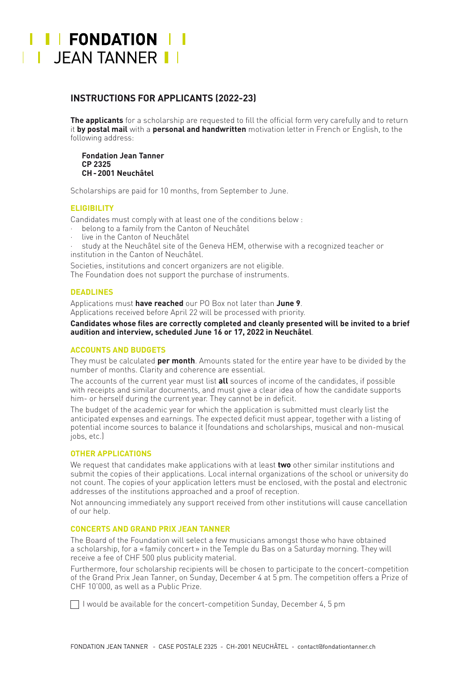# I I FONDATION I I JEAN TANNER I

# **INSTRUCTIONS FOR APPLICANTS (2022-23)**

**The applicants** for a scholarship are requested to fill the official form very carefully and to return it **by postal mail** with a **personal and handwritten** motivation letter in French or English, to the following address:

**Fondation Jean Tanner CP 2325 CH-2001 Neuchâtel**

Scholarships are paid for 10 months, from September to June.

### **ELIGIBILITY**

Candidates must comply with at least one of the conditions below :

- belong to a family from the Canton of Neuchâtel
- live in the Canton of Neuchâtel
- study at the Neuchâtel site of the Geneva HEM, otherwise with a recognized teacher or institution in the Canton of Neuchâtel.

Societies, institutions and concert organizers are not eligible.

The Foundation does not support the purchase of instruments.

#### **DEADLINES**

Applications must **have reached** our PO Box not later than **June 9**. Applications received before April 22 will be processed with priority.

**Candidates whose files are correctly completed and cleanly presented will be invited to a brief audition and interview, scheduled June 16 or 17, 2022 in Neuchâtel**.

#### **ACCOUNTS AND BUDGETS**

They must be calculated **per month**. Amounts stated for the entire year have to be divided by the number of months. Clarity and coherence are essential.

The accounts of the current year must list **all** sources of income of the candidates, if possible with receipts and similar documents, and must give a clear idea of how the candidate supports him- or herself during the current year. They cannot be in deficit.

The budget of the academic year for which the application is submitted must clearly list the anticipated expenses and earnings. The expected deficit must appear, together with a listing of potential income sources to balance it (foundations and scholarships, musical and non-musical jobs, etc.)

#### **OTHER APPLICATIONS**

We request that candidates make applications with at least **two** other similar institutions and submit the copies of their applications. Local internal organizations of the school or university do not count. The copies of your application letters must be enclosed, with the postal and electronic addresses of the institutions approached and a proof of reception.

Not announcing immediately any support received from other institutions will cause cancellation of our help.

#### **CONCERTS AND GRAND PRIX JEAN TANNER**

The Board of the Foundation will select a few musicians amongst those who have obtained a scholarship, for a «family concert» in the Temple du Bas on a Saturday morning. They will receive a fee of CHF 500 plus publicity material.

Furthermore, four scholarship recipients will be chosen to participate to the concert-competition of the Grand Prix Jean Tanner, on Sunday, December 4 at 5 pm. The competition offers a Prize of CHF 10'000, as well as a Public Prize.

 $\Box$  I would be available for the concert-competition Sunday, December 4, 5 pm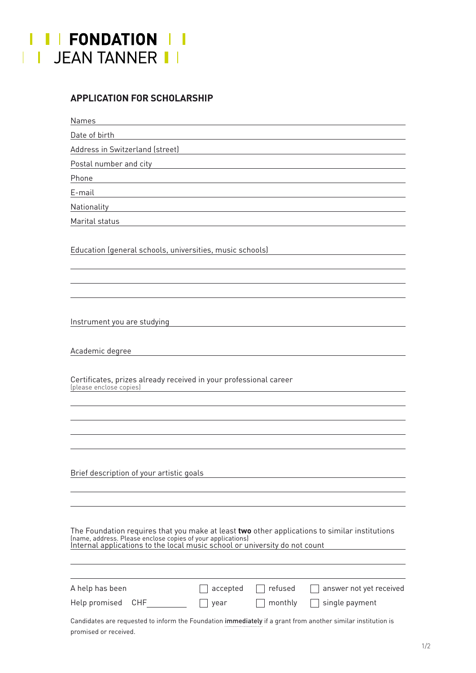

## **APPLICATION FOR SCHOLARSHIP**

Names

Date of birth

Address in Switzerland (street)

Postal number and city **Exercise 2018** 

Phone

E-mail

Nationality

Marital status

Education (general schools, universities, music schools)

Instrument you are studying

Academic degree

Certificates, prizes already received in your professional career (please enclose copies)

Brief description of your artistic goals

The Foundation requires that you make at least **two** other applications to similar institutions (name, address. Please enclose copies of your applications)<br>Internal applications to the local music school or university do n

| A help has been   |      | $\vert$ accepted $\vert$ refused | $\Box$ answer not yet received       |
|-------------------|------|----------------------------------|--------------------------------------|
| Help promised CHF | year |                                  | $\Box$ monthly $\Box$ single payment |

Candidates are requested to inform the Foundation immediately if a grant from another similar institution is promised or received.